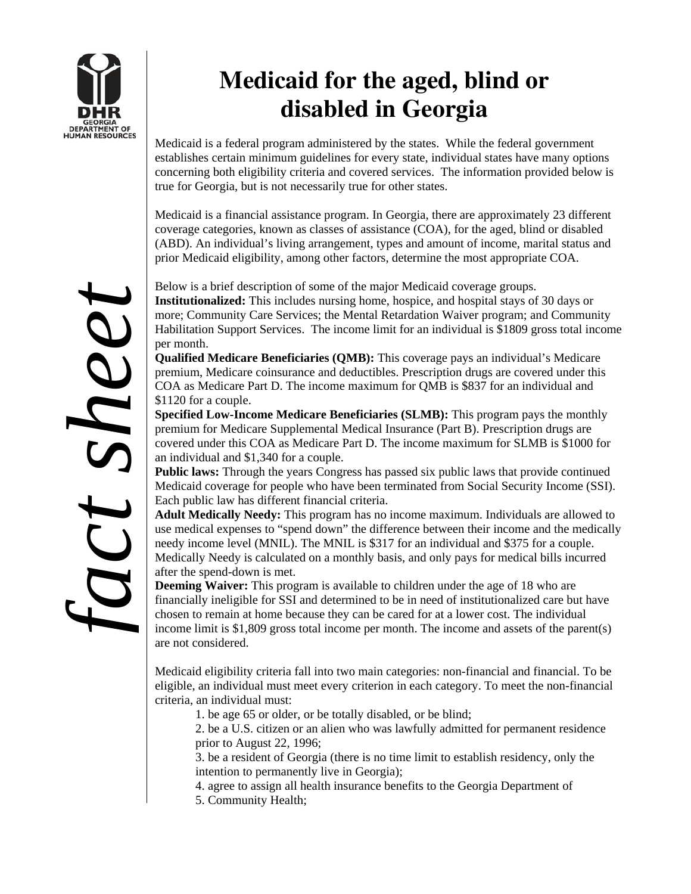

## **Medicaid for the aged, blind or disabled in Georgia**

Medicaid is a federal program administered by the states. While the federal government establishes certain minimum guidelines for every state, individual states have many options concerning both eligibility criteria and covered services. The information provided below is true for Georgia, but is not necessarily true for other states.

Medicaid is a financial assistance program. In Georgia, there are approximately 23 different coverage categories, known as classes of assistance (COA), for the aged, blind or disabled (ABD). An individual's living arrangement, types and amount of income, marital status and prior Medicaid eligibility, among other factors, determine the most appropriate COA.

Below is a brief description of some of the major Medicaid coverage groups. **Institutionalized:** This includes nursing home, hospice, and hospital stays of 30 days or more; Community Care Services; the Mental Retardation Waiver program; and Community Habilitation Support Services. The income limit for an individual is \$1809 gross total income per month.

**Qualified Medicare Beneficiaries (QMB):** This coverage pays an individual's Medicare premium, Medicare coinsurance and deductibles. Prescription drugs are covered under this COA as Medicare Part D. The income maximum for QMB is \$837 for an individual and \$1120 for a couple.

**Specified Low-Income Medicare Beneficiaries (SLMB):** This program pays the monthly premium for Medicare Supplemental Medical Insurance (Part B). Prescription drugs are covered under this COA as Medicare Part D. The income maximum for SLMB is \$1000 for an individual and \$1,340 for a couple.

**Public laws:** Through the years Congress has passed six public laws that provide continued Medicaid coverage for people who have been terminated from Social Security Income (SSI). Each public law has different financial criteria.

**Adult Medically Needy:** This program has no income maximum. Individuals are allowed to use medical expenses to "spend down" the difference between their income and the medically needy income level (MNIL). The MNIL is \$317 for an individual and \$375 for a couple. Medically Needy is calculated on a monthly basis, and only pays for medical bills incurred after the spend-down is met.

**Deeming Waiver:** This program is available to children under the age of 18 who are financially ineligible for SSI and determined to be in need of institutionalized care but have chosen to remain at home because they can be cared for at a lower cost. The individual income limit is \$1,809 gross total income per month. The income and assets of the parent(s) are not considered.

Medicaid eligibility criteria fall into two main categories: non-financial and financial. To be eligible, an individual must meet every criterion in each category. To meet the non-financial criteria, an individual must:

1. be age 65 or older, or be totally disabled, or be blind;

2. be a U.S. citizen or an alien who was lawfully admitted for permanent residence prior to August 22, 1996;

3. be a resident of Georgia (there is no time limit to establish residency, only the intention to permanently live in Georgia);

4. agree to assign all health insurance benefits to the Georgia Department of 5. Community Health;